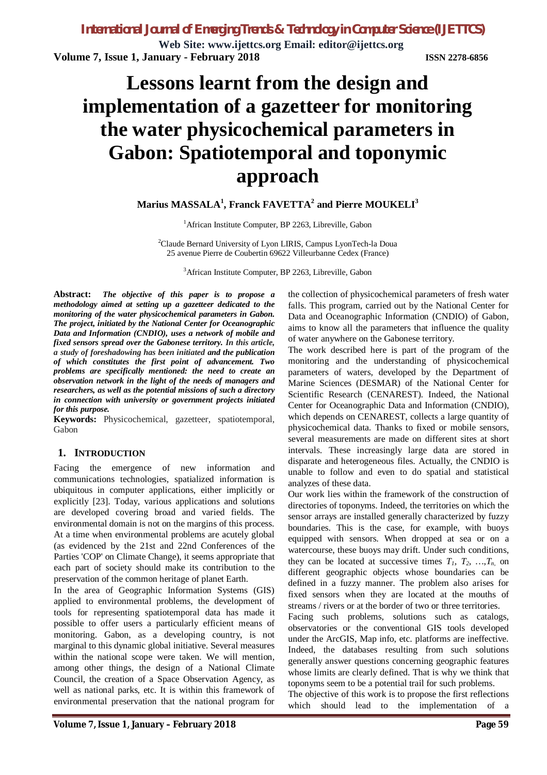**Web Site: www.ijettcs.org Email: editor@ijettcs.org Volume 7, Issue 1, January - February 2018 ISSN 2278-6856**

# **Lessons learnt from the design and implementation of a gazetteer for monitoring the water physicochemical parameters in Gabon: Spatiotemporal and toponymic approach**

# **Marius MASSALA<sup>1</sup> , Franck FAVETTA<sup>2</sup> and Pierre MOUKELI<sup>3</sup>**

<sup>1</sup> African Institute Computer, BP 2263, Libreville, Gabon

<sup>2</sup>Claude Bernard University of Lyon LIRIS, Campus LyonTech-la Doua 25 avenue Pierre de Coubertin 69622 Villeurbanne Cedex (France)

<sup>3</sup>African Institute Computer, BP 2263, Libreville, Gabon

**Abstract:** *The objective of this paper is to propose a methodology aimed at setting up a gazetteer dedicated to the monitoring of the water physicochemical parameters in Gabon. The project, initiated by the National Center for Oceanographic Data and Information (CNDIO), uses a network of mobile and fixed sensors spread over the Gabonese territory. In this article, a study of foreshadowing has been initiated and the publication of which constitutes the first point of advancement. Two problems are specifically mentioned: the need to create an observation network in the light of the needs of managers and researchers, as well as the potential missions of such a directory in connection with university or government projects initiated for this purpose.*

**Keywords:** Physicochemical, gazetteer, spatiotemporal, Gabon

## **1. INTRODUCTION**

Facing the emergence of new information and communications technologies, spatialized information is ubiquitous in computer applications, either implicitly or explicitly [23]. Today, various applications and solutions are developed covering broad and varied fields. The environmental domain is not on the margins of this process. At a time when environmental problems are acutely global (as evidenced by the 21st and 22nd Conferences of the Parties 'COP' on Climate Change), it seems appropriate that each part of society should make its contribution to the preservation of the common heritage of planet Earth.

In the area of Geographic Information Systems (GIS) applied to environmental problems, the development of tools for representing spatiotemporal data has made it possible to offer users a particularly efficient means of monitoring. Gabon, as a developing country, is not marginal to this dynamic global initiative. Several measures within the national scope were taken. We will mention, among other things, the design of a National Climate Council, the creation of a Space Observation Agency, as well as national parks, etc. It is within this framework of environmental preservation that the national program for

the collection of physicochemical parameters of fresh water falls. This program, carried out by the National Center for Data and Oceanographic Information (CNDIO) of Gabon, aims to know all the parameters that influence the quality of water anywhere on the Gabonese territory.

The work described here is part of the program of the monitoring and the understanding of physicochemical parameters of waters, developed by the Department of Marine Sciences (DESMAR) of the National Center for Scientific Research (CENAREST). Indeed, the National Center for Oceanographic Data and Information (CNDIO), which depends on CENAREST, collects a large quantity of physicochemical data. Thanks to fixed or mobile sensors, several measurements are made on different sites at short intervals. These increasingly large data are stored in disparate and heterogeneous files. Actually, the CNDIO is unable to follow and even to do spatial and statistical analyzes of these data.

Our work lies within the framework of the construction of directories of toponyms. Indeed, the territories on which the sensor arrays are installed generally characterized by fuzzy boundaries. This is the case, for example, with buoys equipped with sensors. When dropped at sea or on a watercourse, these buoys may drift. Under such conditions, they can be located at successive times  $T_1, T_2, ..., T_n$  on different geographic objects whose boundaries can be defined in a fuzzy manner. The problem also arises for fixed sensors when they are located at the mouths of streams / rivers or at the border of two or three territories.

Facing such problems, solutions such as catalogs, observatories or the conventional GIS tools developed under the ArcGIS, Map info, etc. platforms are ineffective. Indeed, the databases resulting from such solutions generally answer questions concerning geographic features whose limits are clearly defined. That is why we think that toponyms seem to be a potential trail for such problems.

The objective of this work is to propose the first reflections which should lead to the implementation of a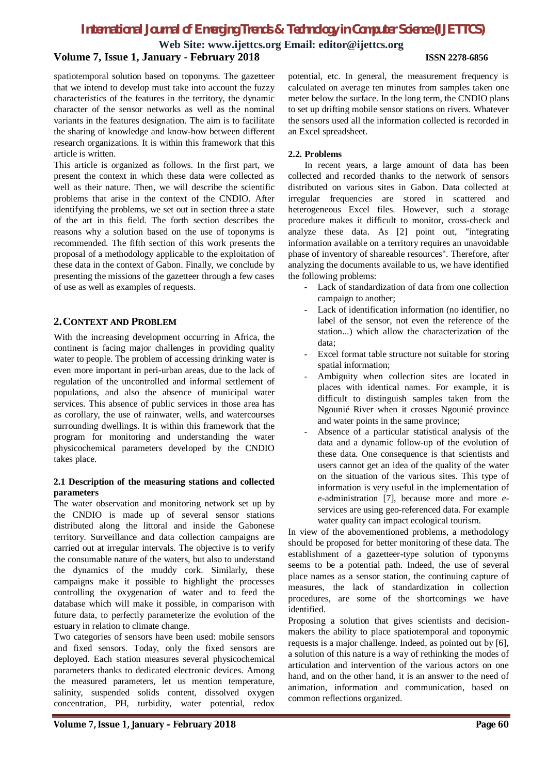**Web Site: www.ijettcs.org Email: editor@ijettcs.org Volume 7, Issue 1, January - February 2018 ISSN 2278-6856**

spatiotemporal solution based on toponyms. The gazetteer that we intend to develop must take into account the fuzzy characteristics of the features in the territory, the dynamic character of the sensor networks as well as the nominal variants in the features designation. The aim is to facilitate the sharing of knowledge and know-how between different research organizations. It is within this framework that this article is written.

This article is organized as follows. In the first part, we present the context in which these data were collected as well as their nature. Then, we will describe the scientific problems that arise in the context of the CNDIO. After identifying the problems, we set out in section three a state of the art in this field. The forth section describes the reasons why a solution based on the use of toponyms is recommended. The fifth section of this work presents the proposal of a methodology applicable to the exploitation of these data in the context of Gabon. Finally, we conclude by presenting the missions of the gazetteer through a few cases of use as well as examples of requests.

## **2.CONTEXT AND PROBLEM**

With the increasing development occurring in Africa, the continent is facing major challenges in providing quality water to people. The problem of accessing drinking water is even more important in peri-urban areas, due to the lack of regulation of the uncontrolled and informal settlement of populations, and also the absence of municipal water services. This absence of public services in those area has as corollary, the use of rainwater, wells, and watercourses surrounding dwellings. It is within this framework that the program for monitoring and understanding the water physicochemical parameters developed by the CNDIO takes place.

### **2.1 Description of the measuring stations and collected parameters**

The water observation and monitoring network set up by the CNDIO is made up of several sensor stations distributed along the littoral and inside the Gabonese territory. Surveillance and data collection campaigns are carried out at irregular intervals. The objective is to verify the consumable nature of the waters, but also to understand the dynamics of the muddy cork. Similarly, these campaigns make it possible to highlight the processes controlling the oxygenation of water and to feed the database which will make it possible, in comparison with future data, to perfectly parameterize the evolution of the estuary in relation to climate change.

Two categories of sensors have been used: mobile sensors and fixed sensors. Today, only the fixed sensors are deployed. Each station measures several physicochemical parameters thanks to dedicated electronic devices. Among the measured parameters, let us mention temperature, salinity, suspended solids content, dissolved oxygen concentration, PH, turbidity, water potential, redox

potential, etc. In general, the measurement frequency is calculated on average ten minutes from samples taken one meter below the surface. In the long term, the CNDIO plans to set up drifting mobile sensor stations on rivers. Whatever the sensors used all the information collected is recorded in an Excel spreadsheet.

### **2.2. Problems**

In recent years, a large amount of data has been collected and recorded thanks to the network of sensors distributed on various sites in Gabon. Data collected at irregular frequencies are stored in scattered and heterogeneous Excel files. However, such a storage procedure makes it difficult to monitor, cross-check and analyze these data. As [2] point out, "integrating information available on a territory requires an unavoidable phase of inventory of shareable resources". Therefore, after analyzing the documents available to us, we have identified the following problems:

- Lack of standardization of data from one collection campaign to another;
- Lack of identification information (no identifier, no label of the sensor, not even the reference of the station...) which allow the characterization of the data;
- Excel format table structure not suitable for storing spatial information;
- Ambiguity when collection sites are located in places with identical names. For example, it is difficult to distinguish samples taken from the Ngounié River when it crosses Ngounié province and water points in the same province;
- Absence of a particular statistical analysis of the data and a dynamic follow-up of the evolution of these data. One consequence is that scientists and users cannot get an idea of the quality of the water on the situation of the various sites. This type of information is very useful in the implementation of *e*-administration [7], because more and more *e*services are using geo-referenced data. For example water quality can impact ecological tourism.

In view of the abovementioned problems, a methodology should be proposed for better monitoring of these data. The establishment of a gazetteer-type solution of typonyms seems to be a potential path. Indeed, the use of several place names as a sensor station, the continuing capture of measures, the lack of standardization in collection procedures, are some of the shortcomings we have identified.

Proposing a solution that gives scientists and decisionmakers the ability to place spatiotemporal and toponymic requests is a major challenge. Indeed, as pointed out by [6], a solution of this nature is a way of rethinking the modes of articulation and intervention of the various actors on one hand, and on the other hand, it is an answer to the need of animation, information and communication, based on common reflections organized.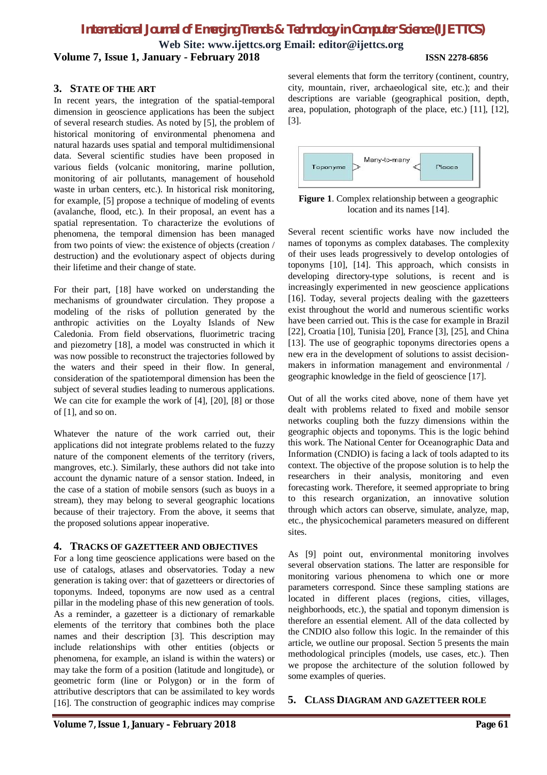**Web Site: www.ijettcs.org Email: editor@ijettcs.org Volume 7, Issue 1, January - February 2018 ISSN 2278-6856**

### **3. STATE OF THE ART**

In recent years, the integration of the spatial-temporal dimension in geoscience applications has been the subject of several research studies. As noted by [5], the problem of historical monitoring of environmental phenomena and natural hazards uses spatial and temporal multidimensional data. Several scientific studies have been proposed in various fields (volcanic monitoring, marine pollution, monitoring of air pollutants, management of household waste in urban centers, etc.). In historical risk monitoring, for example, [5] propose a technique of modeling of events (avalanche, flood, etc.). In their proposal, an event has a spatial representation. To characterize the evolutions of phenomena, the temporal dimension has been managed from two points of view: the existence of objects (creation / destruction) and the evolutionary aspect of objects during their lifetime and their change of state.

For their part, [18] have worked on understanding the mechanisms of groundwater circulation. They propose a modeling of the risks of pollution generated by the anthropic activities on the Loyalty Islands of New Caledonia. From field observations, fluorimetric tracing and piezometry [18], a model was constructed in which it was now possible to reconstruct the trajectories followed by the waters and their speed in their flow. In general, consideration of the spatiotemporal dimension has been the subject of several studies leading to numerous applications. We can cite for example the work of [4], [20], [8] or those of [1], and so on.

Whatever the nature of the work carried out, their applications did not integrate problems related to the fuzzy nature of the component elements of the territory (rivers, mangroves, etc.). Similarly, these authors did not take into account the dynamic nature of a sensor station. Indeed, in the case of a station of mobile sensors (such as buoys in a stream), they may belong to several geographic locations because of their trajectory. From the above, it seems that the proposed solutions appear inoperative.

### **4. TRACKS OF GAZETTEER AND OBJECTIVES**

For a long time geoscience applications were based on the use of catalogs, atlases and observatories. Today a new generation is taking over: that of gazetteers or directories of toponyms. Indeed, toponyms are now used as a central pillar in the modeling phase of this new generation of tools. As a reminder, a gazetteer is a dictionary of remarkable elements of the territory that combines both the place names and their description [3]. This description may include relationships with other entities (objects or phenomena, for example, an island is within the waters) or may take the form of a position (latitude and longitude), or geometric form (line or Polygon) or in the form of attributive descriptors that can be assimilated to key words [16]. The construction of geographic indices may comprise

several elements that form the territory (continent, country, city, mountain, river, archaeological site, etc.); and their descriptions are variable (geographical position, depth, area, population, photograph of the place, etc.) [11], [12], [3].



**Figure 1**. Complex relationship between a geographic location and its names [14].

Several recent scientific works have now included the names of toponyms as complex databases. The complexity of their uses leads progressively to develop ontologies of toponyms [10], [14]. This approach, which consists in developing directory-type solutions, is recent and is increasingly experimented in new geoscience applications [16]. Today, several projects dealing with the gazetteers exist throughout the world and numerous scientific works have been carried out. This is the case for example in Brazil [22], Croatia [10], Tunisia [20], France [3], [25], and China [13]. The use of geographic toponyms directories opens a new era in the development of solutions to assist decisionmakers in information management and environmental / geographic knowledge in the field of geoscience [17].

Out of all the works cited above, none of them have yet dealt with problems related to fixed and mobile sensor networks coupling both the fuzzy dimensions within the geographic objects and toponyms. This is the logic behind this work. The National Center for Oceanographic Data and Information (CNDIO) is facing a lack of tools adapted to its context. The objective of the propose solution is to help the researchers in their analysis, monitoring and even forecasting work. Therefore, it seemed appropriate to bring to this research organization, an innovative solution through which actors can observe, simulate, analyze, map, etc., the physicochemical parameters measured on different sites.

As [9] point out, environmental monitoring involves several observation stations. The latter are responsible for monitoring various phenomena to which one or more parameters correspond. Since these sampling stations are located in different places (regions, cities, villages, neighborhoods, etc.), the spatial and toponym dimension is therefore an essential element. All of the data collected by the CNDIO also follow this logic. In the remainder of this article, we outline our proposal. Section 5 presents the main methodological principles (models, use cases, etc.). Then we propose the architecture of the solution followed by some examples of queries.

**5. CLASS DIAGRAM AND GAZETTEER ROLE**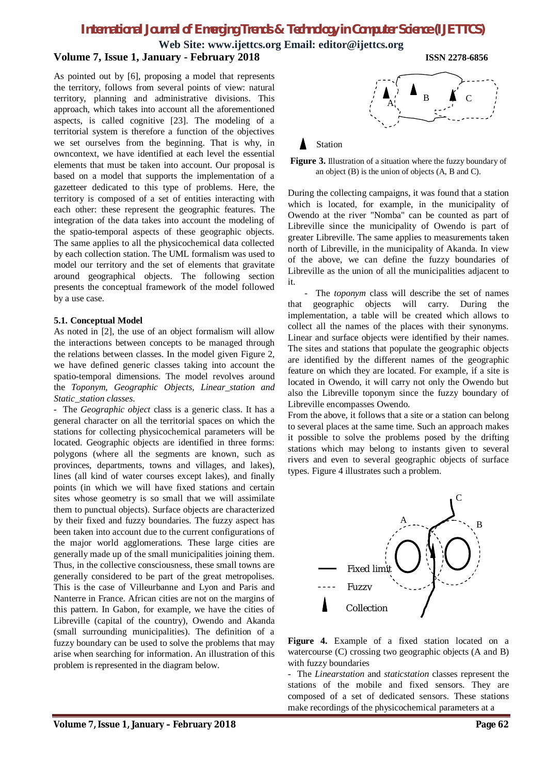**Web Site: www.ijettcs.org Email: editor@ijettcs.org Volume 7, Issue 1, January - February 2018 ISSN 2278-6856**

As pointed out by [6], proposing a model that represents the territory, follows from several points of view: natural territory, planning and administrative divisions. This approach, which takes into account all the aforementioned aspects, is called cognitive [23]. The modeling of a territorial system is therefore a function of the objectives we set ourselves from the beginning. That is why, in owncontext, we have identified at each level the essential elements that must be taken into account. Our proposal is based on a model that supports the implementation of a gazetteer dedicated to this type of problems. Here, the territory is composed of a set of entities interacting with each other: these represent the geographic features. The integration of the data takes into account the modeling of the spatio-temporal aspects of these geographic objects. The same applies to all the physicochemical data collected by each collection station. The UML formalism was used to model our territory and the set of elements that gravitate around geographical objects. The following section presents the conceptual framework of the model followed by a use case.

### **5.1. Conceptual Model**

As noted in [2], the use of an object formalism will allow the interactions between concepts to be managed through the relations between classes. In the model given Figure 2, we have defined generic classes taking into account the spatio-temporal dimensions. The model revolves around the *Toponym, Geographic Objects, Linear\_station and Static\_station classes*.

- The *Geographic object* class is a generic class. It has a general character on all the territorial spaces on which the stations for collecting physicochemical parameters will be located. Geographic objects are identified in three forms: polygons (where all the segments are known, such as provinces, departments, towns and villages, and lakes), lines (all kind of water courses except lakes), and finally points (in which we will have fixed stations and certain sites whose geometry is so small that we will assimilate them to punctual objects). Surface objects are characterized by their fixed and fuzzy boundaries. The fuzzy aspect has been taken into account due to the current configurations of the major world agglomerations. These large cities are generally made up of the small municipalities joining them. Thus, in the collective consciousness, these small towns are generally considered to be part of the great metropolises. This is the case of Villeurbanne and Lyon and Paris and Nanterre in France. African cities are not on the margins of this pattern. In Gabon, for example, we have the cities of Libreville (capital of the country), Owendo and Akanda (small surrounding municipalities). The definition of a fuzzy boundary can be used to solve the problems that may arise when searching for information. An illustration of this problem is represented in the diagram below.



**Figure 3.** Illustration of a situation where the fuzzy boundary of an object (B) is the union of objects (A, B and C).

During the collecting campaigns, it was found that a station which is located, for example, in the municipality of Owendo at the river "Nomba" can be counted as part of Libreville since the municipality of Owendo is part of greater Libreville. The same applies to measurements taken north of Libreville, in the municipality of Akanda. In view of the above, we can define the fuzzy boundaries of Libreville as the union of all the municipalities adjacent to it.

- The *toponym* class will describe the set of names that geographic objects will carry. During the implementation, a table will be created which allows to collect all the names of the places with their synonyms. Linear and surface objects were identified by their names. The sites and stations that populate the geographic objects are identified by the different names of the geographic feature on which they are located. For example, if a site is located in Owendo, it will carry not only the Owendo but also the Libreville toponym since the fuzzy boundary of Libreville encompasses Owendo.

From the above, it follows that a site or a station can belong to several places at the same time. Such an approach makes it possible to solve the problems posed by the drifting stations which may belong to instants given to several rivers and even to several geographic objects of surface types. Figure 4 illustrates such a problem.



**Figure 4.** Example of a fixed station located on a watercourse (C) crossing two geographic objects (A and B) with fuzzy boundaries

- The *Linearstation* and *staticstation* classes represent the stations of the mobile and fixed sensors. They are composed of a set of dedicated sensors. These stations make recordings of the physicochemical parameters at a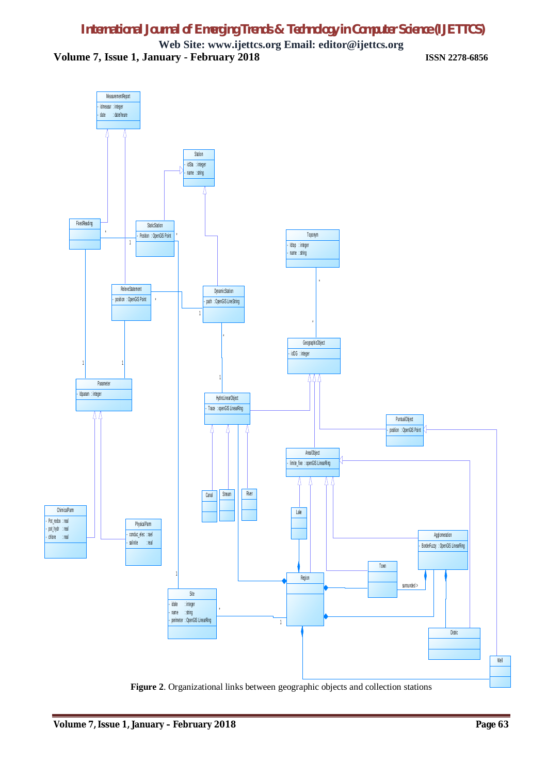**Web Site: www.ijettcs.org Email: editor@ijettcs.org Volume 7, Issue 1, January - February 2018 ISSN 2278-6856**



**Figure 2**. Organizational links between geographic objects and collection stations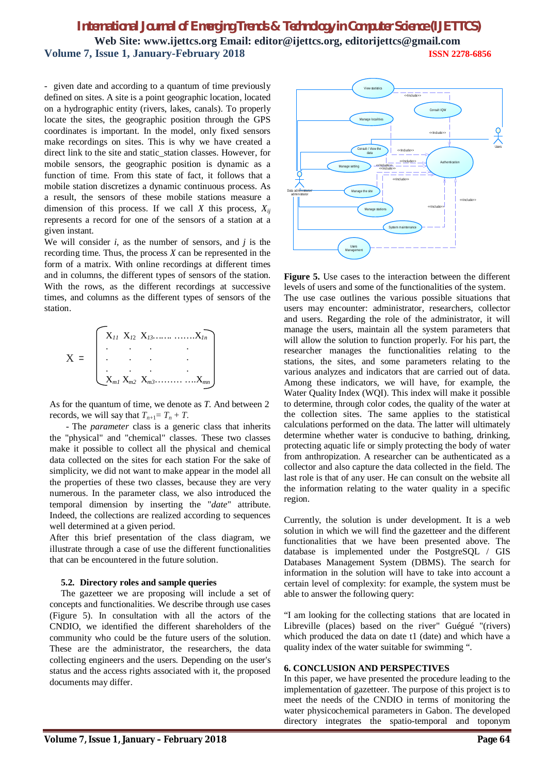# *International Journal of Emerging Trends & Technology in Computer Science (IJETTCS)* **Web Site: www.ijettcs.org Email: editor@ijettcs.org, editorijettcs@gmail.com Volume 7, Issue 1, January-February 2018 ISSN 2278-6856**

- given date and according to a quantum of time previously defined on sites. A site is a point geographic location, located on a hydrographic entity (rivers, lakes, canals). To properly locate the sites, the geographic position through the GPS coordinates is important. In the model, only fixed sensors make recordings on sites. This is why we have created a direct link to the site and static\_station classes. However, for mobile sensors, the geographic position is dynamic as a function of time. From this state of fact, it follows that a mobile station discretizes a dynamic continuous process. As a result, the sensors of these mobile stations measure a dimension of this process. If we call *X* this process, *Xij* represents a record for one of the sensors of a station at a given instant.

We will consider *i*, as the number of sensors, and *j* is the recording time. Thus, the process *X* can be represented in the form of a matrix. With online recordings at different times and in columns, the different types of sensors of the station. With the rows, as the different recordings at successive times, and columns as the different types of sensors of the station.



As for the quantum of time, we denote as *T*. And between 2 records, we will say that  $T_{n+1} = T_n + T$ .

- The *parameter* class is a generic class that inherits the "physical" and "chemical" classes. These two classes make it possible to collect all the physical and chemical data collected on the sites for each station For the sake of simplicity, we did not want to make appear in the model all the properties of these two classes, because they are very numerous. In the parameter class, we also introduced the temporal dimension by inserting the "*date*" attribute. Indeed, the collections are realized according to sequences well determined at a given period.

After this brief presentation of the class diagram, we illustrate through a case of use the different functionalities that can be encountered in the future solution.

### **5.2. Directory roles and sample queries**

The gazetteer we are proposing will include a set of concepts and functionalities. We describe through use cases (Figure 5). In consultation with all the actors of the CNDIO, we identified the different shareholders of the community who could be the future users of the solution. These are the administrator, the researchers, the data collecting engineers and the users. Depending on the user's status and the access rights associated with it, the proposed documents may differ.



**Figure 5.** Use cases to the interaction between the different levels of users and some of the functionalities of the system. The use case outlines the various possible situations that users may encounter: administrator, researchers, collector and users. Regarding the role of the administrator, it will manage the users, maintain all the system parameters that will allow the solution to function properly. For his part, the researcher manages the functionalities relating to the stations, the sites, and some parameters relating to the various analyzes and indicators that are carried out of data. Among these indicators, we will have, for example, the Water Quality Index (WQI). This index will make it possible to determine, through color codes, the quality of the water at the collection sites. The same applies to the statistical calculations performed on the data. The latter will ultimately determine whether water is conducive to bathing, drinking, protecting aquatic life or simply protecting the body of water from anthropization. A researcher can be authenticated as a collector and also capture the data collected in the field. The last role is that of any user. He can consult on the website all the information relating to the water quality in a specific region.

Currently, the solution is under development. It is a web solution in which we will find the gazetteer and the different functionalities that we have been presented above. The database is implemented under the PostgreSQL / GIS Databases Management System (DBMS). The search for information in the solution will have to take into account a certain level of complexity: for example, the system must be able to answer the following query:

"I am looking for the collecting stations that are located in Libreville (places) based on the river" Guégué "(rivers) which produced the data on date t1 (date) and which have a quality index of the water suitable for swimming ".

### **6. CONCLUSION AND PERSPECTIVES**

In this paper, we have presented the procedure leading to the implementation of gazetteer. The purpose of this project is to meet the needs of the CNDIO in terms of monitoring the water physicochemical parameters in Gabon. The developed directory integrates the spatio-temporal and toponym